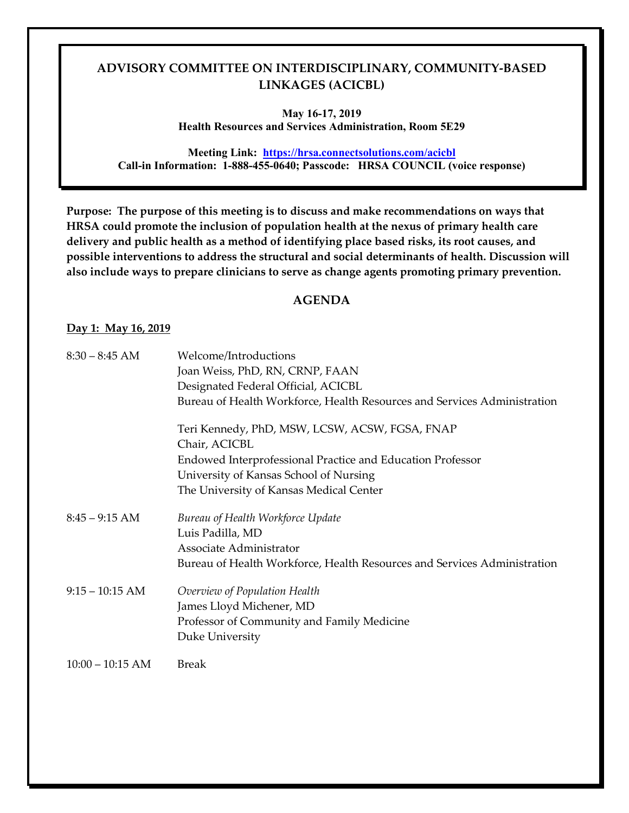**May 16-17, 2019 Health Resources and Services Administration, Room 5E29** 

 **Call-in Information: 1-888-455-0640; Passcode: HRSA COUNCIL (voice response) Meeting Link: <https://hrsa.connectsolutions.com/acicbl>**

 **delivery and public health as a method of identifying place based risks, its root causes, and Purpose: The purpose of this meeting is to discuss and make recommendations on ways that HRSA could promote the inclusion of population health at the nexus of primary health care possible interventions to address the structural and social determinants of health. Discussion will also include ways to prepare clinicians to serve as change agents promoting primary prevention.** 

#### **AGENDA**

#### **Day 1: May 16, 2019**

| $8:30 - 8:45$ AM   | Welcome/Introductions                                                    |
|--------------------|--------------------------------------------------------------------------|
|                    | Joan Weiss, PhD, RN, CRNP, FAAN                                          |
|                    | Designated Federal Official, ACICBL                                      |
|                    | Bureau of Health Workforce, Health Resources and Services Administration |
|                    | Teri Kennedy, PhD, MSW, LCSW, ACSW, FGSA, FNAP                           |
|                    | Chair, ACICBL                                                            |
|                    | Endowed Interprofessional Practice and Education Professor               |
|                    | University of Kansas School of Nursing                                   |
|                    | The University of Kansas Medical Center                                  |
| $8:45 - 9:15$ AM   | Bureau of Health Workforce Update                                        |
|                    | Luis Padilla, MD                                                         |
|                    | Associate Administrator                                                  |
|                    | Bureau of Health Workforce, Health Resources and Services Administration |
| $9:15 - 10:15$ AM  | Overview of Population Health                                            |
|                    | James Lloyd Michener, MD                                                 |
|                    | Professor of Community and Family Medicine                               |
|                    | Duke University                                                          |
| $10:00 - 10:15$ AM | <b>Break</b>                                                             |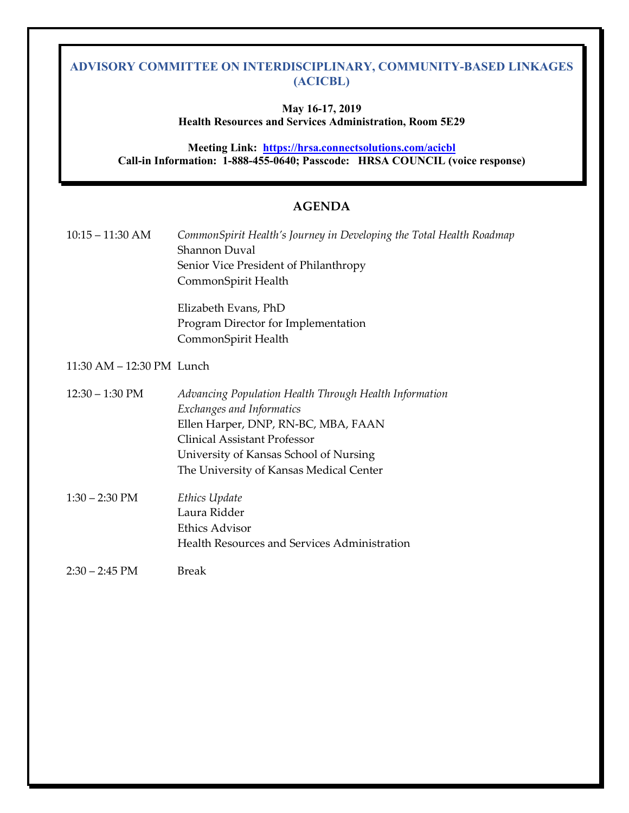### **May 16-17, 2019 Health Resources and Services Administration, Room 5E29**

**Meeting Link: <https://hrsa.connectsolutions.com/acicbl> Call-in Information: 1-888-455-0640; Passcode: HRSA COUNCIL (voice response)** 

### **AGENDA**

| $10:15 - 11:30$ AM        | CommonSpirit Health's Journey in Developing the Total Health Roadmap<br><b>Shannon Duval</b><br>Senior Vice President of Philanthropy<br>CommonSpirit Health                                                                                           |
|---------------------------|--------------------------------------------------------------------------------------------------------------------------------------------------------------------------------------------------------------------------------------------------------|
|                           | Elizabeth Evans, PhD<br>Program Director for Implementation<br>CommonSpirit Health                                                                                                                                                                     |
| 11:30 AM - 12:30 PM Lunch |                                                                                                                                                                                                                                                        |
| $12:30 - 1:30$ PM         | Advancing Population Health Through Health Information<br>Exchanges and Informatics<br>Ellen Harper, DNP, RN-BC, MBA, FAAN<br><b>Clinical Assistant Professor</b><br>University of Kansas School of Nursing<br>The University of Kansas Medical Center |
| $1:30 - 2:30$ PM          | Ethics Update<br>Laura Ridder<br>Ethics Advisor<br>Health Resources and Services Administration                                                                                                                                                        |
| $2:30 - 2:45$ PM          | <b>Break</b>                                                                                                                                                                                                                                           |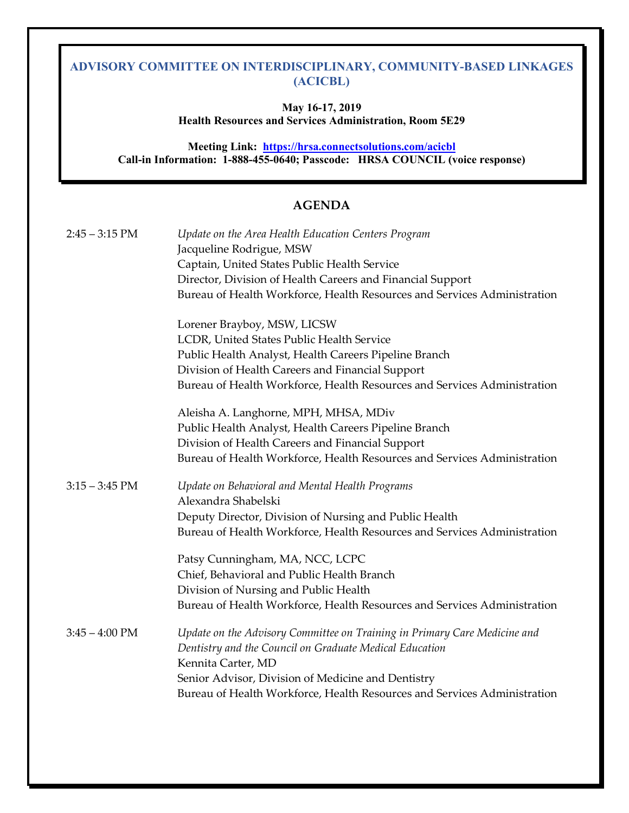**May 16-17, 2019 Health Resources and Services Administration, Room 5E29** 

 **Call-in Information: 1-888-455-0640; Passcode: HRSA COUNCIL (voice response) Meeting Link: <https://hrsa.connectsolutions.com/acicbl>**

## **AGENDA**

| $2:45 - 3:15$ PM | Update on the Area Health Education Centers Program<br>Jacqueline Rodrigue, MSW<br>Captain, United States Public Health Service<br>Director, Division of Health Careers and Financial Support<br>Bureau of Health Workforce, Health Resources and Services Administration                    |
|------------------|----------------------------------------------------------------------------------------------------------------------------------------------------------------------------------------------------------------------------------------------------------------------------------------------|
|                  | Lorener Brayboy, MSW, LICSW<br>LCDR, United States Public Health Service<br>Public Health Analyst, Health Careers Pipeline Branch<br>Division of Health Careers and Financial Support<br>Bureau of Health Workforce, Health Resources and Services Administration                            |
|                  | Aleisha A. Langhorne, MPH, MHSA, MDiv<br>Public Health Analyst, Health Careers Pipeline Branch<br>Division of Health Careers and Financial Support<br>Bureau of Health Workforce, Health Resources and Services Administration                                                               |
| $3:15 - 3:45$ PM | Update on Behavioral and Mental Health Programs<br>Alexandra Shabelski<br>Deputy Director, Division of Nursing and Public Health<br>Bureau of Health Workforce, Health Resources and Services Administration                                                                                 |
|                  | Patsy Cunningham, MA, NCC, LCPC<br>Chief, Behavioral and Public Health Branch<br>Division of Nursing and Public Health<br>Bureau of Health Workforce, Health Resources and Services Administration                                                                                           |
| $3:45 - 4:00$ PM | Update on the Advisory Committee on Training in Primary Care Medicine and<br>Dentistry and the Council on Graduate Medical Education<br>Kennita Carter, MD<br>Senior Advisor, Division of Medicine and Dentistry<br>Bureau of Health Workforce, Health Resources and Services Administration |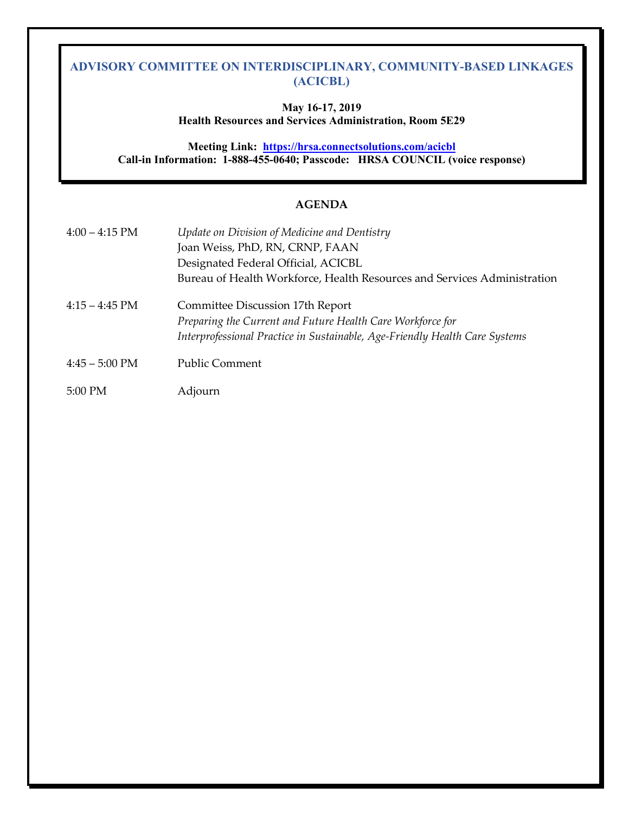#### **May 16-17, 2019 Health Resources and Services Administration, Room 5E29**

 **Call-in Information: 1-888-455-0640; Passcode: HRSA COUNCIL (voice response) Meeting Link: <https://hrsa.connectsolutions.com/acicbl>**

#### **AGENDA**

| $4:00 - 4:15$ PM       | Update on Division of Medicine and Dentistry                                |
|------------------------|-----------------------------------------------------------------------------|
|                        | Joan Weiss, PhD, RN, CRNP, FAAN                                             |
|                        | Designated Federal Official, ACICBL                                         |
|                        | Bureau of Health Workforce, Health Resources and Services Administration    |
| $4:15 - 4:45$ PM       | Committee Discussion 17th Report                                            |
|                        | Preparing the Current and Future Health Care Workforce for                  |
|                        | Interprofessional Practice in Sustainable, Age-Friendly Health Care Systems |
| $4:45-5:00 \text{ PM}$ | <b>Public Comment</b>                                                       |
| $5:00$ PM              | Adjourn                                                                     |